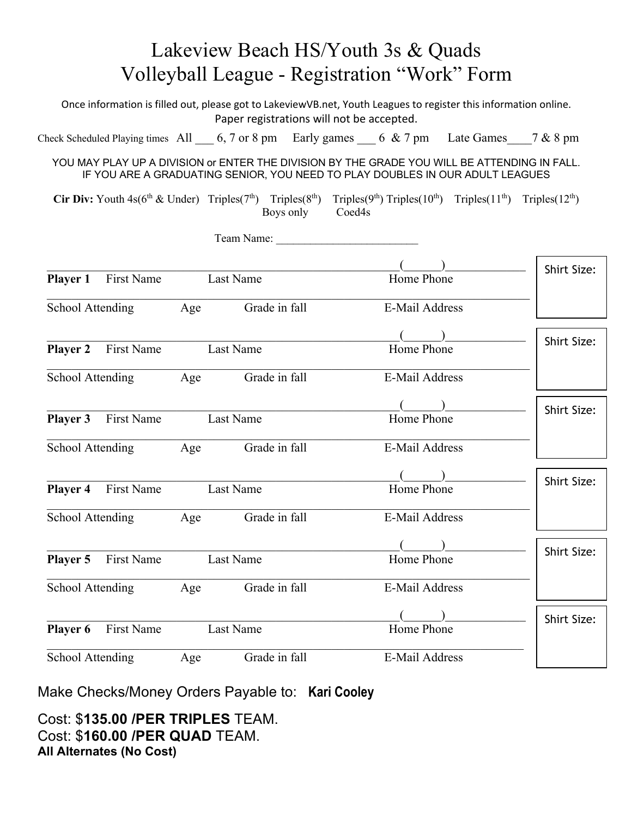| Lakeview Beach HS/Youth 3s & Quads                                                                                                                                                            |            |           |                                                                                                                                                                               |                       |                |                    |
|-----------------------------------------------------------------------------------------------------------------------------------------------------------------------------------------------|------------|-----------|-------------------------------------------------------------------------------------------------------------------------------------------------------------------------------|-----------------------|----------------|--------------------|
| Volleyball League - Registration "Work" Form                                                                                                                                                  |            |           |                                                                                                                                                                               |                       |                |                    |
| Once information is filled out, please got to LakeviewVB.net, Youth Leagues to register this information online.<br>Paper registrations will not be accepted.                                 |            |           |                                                                                                                                                                               |                       |                |                    |
|                                                                                                                                                                                               |            |           | Check Scheduled Playing times All $\_\_6$ , 7 or 8 pm Early games $\_\_6$ & 7 pm Late Games $\_\_7$ & 8 pm                                                                    |                       |                |                    |
|                                                                                                                                                                                               |            |           | YOU MAY PLAY UP A DIVISION or ENTER THE DIVISION BY THE GRADE YOU WILL BE ATTENDING IN FALL.<br>IF YOU ARE A GRADUATING SENIOR, YOU NEED TO PLAY DOUBLES IN OUR ADULT LEAGUES |                       |                |                    |
| <b>Cir Div:</b> Youth $4s(6^{th} \& Under)$ Triples( $7^{th}$ ) Triples( $8^{th}$ ) Triples( $9^{th}$ ) Triples( $10^{th}$ ) Triples( $11^{th}$ ) Triples( $12^{th}$ )<br>Boys only<br>Coed4s |            |           |                                                                                                                                                                               |                       |                |                    |
|                                                                                                                                                                                               |            |           | Team Name:                                                                                                                                                                    |                       |                |                    |
| <b>Player 1</b>                                                                                                                                                                               | First Name |           | Last Name                                                                                                                                                                     | Home Phone            |                | <b>Shirt Size:</b> |
| School Attending                                                                                                                                                                              |            | Age       | Grade in fall                                                                                                                                                                 | E-Mail Address        |                |                    |
| <b>Player 2</b>                                                                                                                                                                               | First Name |           | Last Name                                                                                                                                                                     | Home Phone            |                | <b>Shirt Size:</b> |
| School Attending                                                                                                                                                                              |            | Age       | Grade in fall                                                                                                                                                                 | E-Mail Address        |                |                    |
|                                                                                                                                                                                               |            |           |                                                                                                                                                                               |                       |                | Shirt Size:        |
| <b>First Name</b><br>Player 3                                                                                                                                                                 |            |           | Last Name                                                                                                                                                                     | Home Phone            |                |                    |
| School Attending                                                                                                                                                                              |            | Age       | Grade in fall<br>E-Mail Address                                                                                                                                               |                       |                |                    |
|                                                                                                                                                                                               |            |           |                                                                                                                                                                               |                       |                |                    |
| First Name<br><b>Player 4</b>                                                                                                                                                                 |            |           | Last Name                                                                                                                                                                     | Home Phone            |                | <b>Shirt Size:</b> |
| School Attending                                                                                                                                                                              |            | Age       | Grade in fall                                                                                                                                                                 | E-Mail Address        |                |                    |
|                                                                                                                                                                                               |            |           |                                                                                                                                                                               |                       |                |                    |
| Player 5<br>First Name                                                                                                                                                                        |            |           | Last Name                                                                                                                                                                     | Home Phone            |                | Shirt Size:        |
| School Attending                                                                                                                                                                              |            | Age       | Grade in fall                                                                                                                                                                 |                       | E-Mail Address |                    |
|                                                                                                                                                                                               |            |           |                                                                                                                                                                               |                       |                | <b>Shirt Size:</b> |
| First Name<br>Player 6                                                                                                                                                                        |            | Last Name |                                                                                                                                                                               | Home Phone            |                |                    |
| School Attending                                                                                                                                                                              |            | Age       | Grade in fall                                                                                                                                                                 | <b>E-Mail Address</b> |                |                    |

Make Checks/Money Orders Payable to: **Kari Cooley** 

Cost: \$**135.00 /PER TRIPLES** TEAM. Cost: \$**160.00 /PER QUAD** TEAM. **All Alternates (No Cost)**